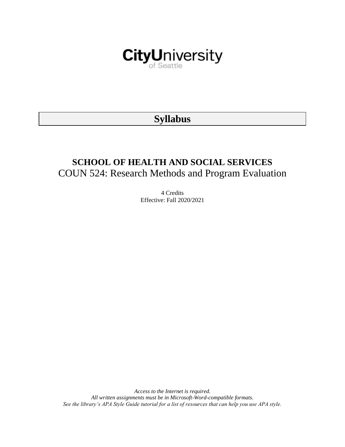

# **Syllabus**

# **SCHOOL OF HEALTH AND SOCIAL SERVICES** COUN 524: Research Methods and Program Evaluation

4 Credits Effective: Fall 2020/2021

*Access to the Internet is required. All written assignments must be in Microsoft-Word-compatible formats. See the library's APA Style Guide tutorial for a list of resources that can help you use APA style.*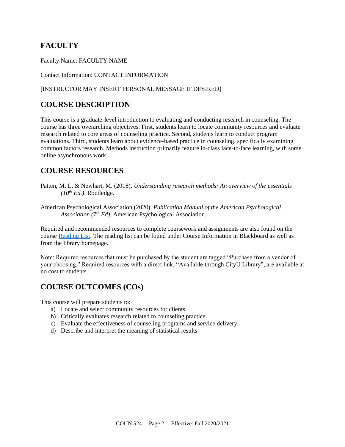# **FACULTY**

Faculty Name: FACULTY NAME

Contact Information: CONTACT INFORMATION

### [INSTRUCTOR MAY INSERT PERSONAL MESSAGE IF DESIRED]

### **COURSE DESCRIPTION**

This course is a graduate-level introduction to evaluating and conducting research in counseling. The course has three overarching objectives. First, students learn to locate community resources and evaluate research related to core areas of counseling practice. Second, students learn to conduct program evaluations. Third, students learn about evidence-based practice in counseling, specifically examining common factors research. Methods instruction primarily feature in-class face-to-face learning, with some online asynchronous work.

### **COURSE RESOURCES**

- Patten, M. L. & Newhart, M. (2018). *Understanding research methods: An overview of the essentials*   $(10^{th}$  *Ed.*). Routledge.
- American Psychological Association (2020). *Publication Manual of the American Psychological Association (7th Ed).* American Psychological Association.

Required and recommended resources to complete coursework and assignments are also found on the course [Reading List.](https://nam03.safelinks.protection.outlook.com/?url=https%3A%2F%2Fcityu.alma.exlibrisgroup.com%2Fleganto%2Flogin%3Fauth%3DSAML&data=04%7C01%7CMMara%40cityu.edu%7C70673ce0fe0144040eda08d87472e204%7Cb3fa96d9f5154662add763d854e39e63%7C1%7C0%7C637387384066198115%7CUnknown%7CTWFpbGZsb3d8eyJWIjoiMC4wLjAwMDAiLCJQIjoiV2luMzIiLCJBTiI6Ik1haWwiLCJXVCI6Mn0%3D%7C1000&sdata=JbwP%2Fm5Q%2BMgIUWa%2FXceos%2BoiLv0DX%2B%2FL%2BNGNMbX9P8E%3D&reserved=0) The reading list can be found under Course Information in Blackboard as well as from the library homepage.

Note: Required resources that must be purchased by the student are tagged "Purchase from a vendor of your choosing." Required resources with a direct link, "Available through CityU Library", are available at no cost to students.

### **COURSE OUTCOMES (COs)**

This course will prepare students to:

- a) Locate and select community resources for clients.
- b) Critically evaluates research related to counseling practice.
- c) Evaluate the effectiveness of counseling programs and service delivery.
- d) Describe and interpret the meaning of statistical results.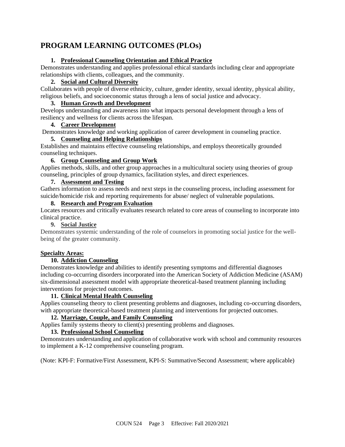## **PROGRAM LEARNING OUTCOMES (PLOs)**

### **1. Professional Counseling Orientation and Ethical Practice**

Demonstrates understanding and applies professional ethical standards including clear and appropriate relationships with clients, colleagues, and the community.

### **2. Social and Cultural Diversity**

Collaborates with people of diverse ethnicity, culture, gender identity, sexual identity, physical ability, religious beliefs, and socioeconomic status through a lens of social justice and advocacy.

### **3. Human Growth and Development**

Develops understanding and awareness into what impacts personal development through a lens of resiliency and wellness for clients across the lifespan.

### **4. Career Development**

Demonstrates knowledge and working application of career development in counseling practice.

### **5. Counseling and Helping Relationships**

Establishes and maintains effective counseling relationships, and employs theoretically grounded counseling techniques.

### **6. Group Counseling and Group Work**

Applies methods, skills, and other group approaches in a multicultural society using theories of group counseling, principles of group dynamics, facilitation styles, and direct experiences.

### **7. Assessment and Testing**

Gathers information to assess needs and next steps in the counseling process, including assessment for suicide/homicide risk and reporting requirements for abuse/ neglect of vulnerable populations.

### **8. Research and Program Evaluation**

Locates resources and critically evaluates research related to core areas of counseling to incorporate into clinical practice.

### **9. Social Justice**

Demonstrates systemic understanding of the role of counselors in promoting social justice for the wellbeing of the greater community.

### **Specialty Areas:**

### **10. Addiction Counseling**

Demonstrates knowledge and abilities to identify presenting symptoms and differential diagnoses including co-occurring disorders incorporated into the American Society of Addiction Medicine (ASAM) six-dimensional assessment model with appropriate theoretical-based treatment planning including interventions for projected outcomes.

### **11. Clinical Mental Health Counseling**

Applies counseling theory to client presenting problems and diagnoses, including co-occurring disorders, with appropriate theoretical-based treatment planning and interventions for projected outcomes.

### **12. Marriage, Couple, and Family Counseling**

Applies family systems theory to client(s) presenting problems and diagnoses.

### **13. Professional School Counseling**

Demonstrates understanding and application of collaborative work with school and community resources to implement a K-12 comprehensive counseling program.

(Note: KPI-F: Formative/First Assessment, KPI-S: Summative/Second Assessment; where applicable)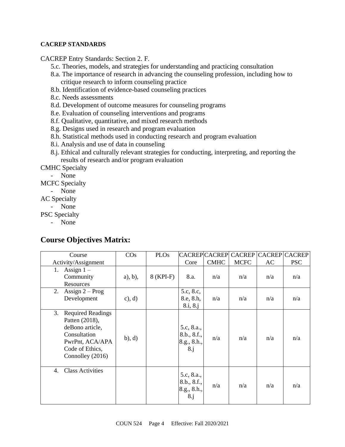### **CACREP STANDARDS**

CACREP Entry Standards: Section 2. F.

- 5.c. Theories, models, and strategies for understanding and practicing consultation
- 8.a. The importance of research in advancing the counseling profession, including how to critique research to inform counseling practice
- 8.b. Identification of evidence-based counseling practices
- 8.c. Needs assessments
- 8.d. Development of outcome measures for counseling programs
- 8.e. Evaluation of counseling interventions and programs
- 8.f. Qualitative, quantitative, and mixed research methods
- 8.g. Designs used in research and program evaluation
- 8.h. Statistical methods used in conducting research and program evaluation
- 8.i. Analysis and use of data in counseling
- 8.j. Ethical and culturally relevant strategies for conducting, interpreting, and reporting the results of research and/or program evaluation

CMHC Specialty

- None

MCFC Specialty

- None

AC Specialty

- None

PSC Specialty

- None

### **Course Objectives Matrix:**

| Course                                                                                                                                        | $\cos$     | <b>PLOs</b> |                                                 | <b>CACREP CACREP</b> | <b>CACREP</b> |     | <b>CACREP CACREP</b> |
|-----------------------------------------------------------------------------------------------------------------------------------------------|------------|-------------|-------------------------------------------------|----------------------|---------------|-----|----------------------|
| Activity/Assignment                                                                                                                           |            |             | Core                                            | <b>CMHC</b>          | <b>MCFC</b>   | AC  | <b>PSC</b>           |
| Assign $1 -$<br>1.<br>Community<br>Resources                                                                                                  | $a)$ , b), | 8 (KPI-F)   | 8.a.                                            | n/a                  | n/a           | n/a | n/a                  |
| Assign $2 - Prog$<br>2.<br>Development                                                                                                        | $c)$ , d)  |             | 5.c, 8.c,<br>8.e, 8.h,<br>8.i, 8.j              | n/a                  | n/a           | n/a | n/a                  |
| 3.<br><b>Required Readings</b><br>Patten (2018),<br>deBono article,<br>Consultation<br>PwrPnt, ACA/APA<br>Code of Ethics,<br>Connolley (2016) | (b), d)    |             | 5.c, 8.a.,<br>8.b., 8.f.,<br>8.g., 8.h.,<br>8.j | n/a                  | n/a           | n/a | n/a                  |
| <b>Class Activities</b><br>4.                                                                                                                 |            |             | 5.c, 8.a.,<br>8.b., 8.f.,<br>8.g., 8.h.,<br>8.j | n/a                  | n/a           | n/a | n/a                  |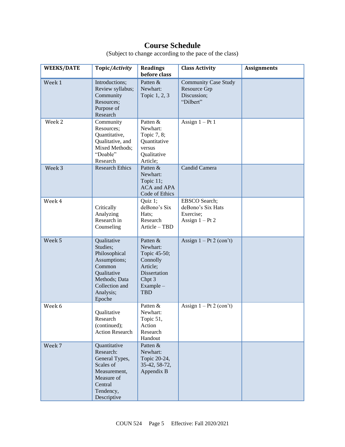# **Course Schedule**

| <b>WEEKS/DATE</b> | Topic/Activity                                                                                                                              | <b>Readings</b><br>before class                                                                                          | <b>Class Activity</b>                                                       | <b>Assignments</b> |
|-------------------|---------------------------------------------------------------------------------------------------------------------------------------------|--------------------------------------------------------------------------------------------------------------------------|-----------------------------------------------------------------------------|--------------------|
| Week 1            | Introductions;<br>Review syllabus;<br>Community<br>Resources:<br>Purpose of<br>Research                                                     | Patten &<br>Newhart:<br>Topic 1, 2, 3                                                                                    | <b>Community Case Study</b><br>Resource Grp<br>Discussion;<br>"Dilbert"     |                    |
| Week <sub>2</sub> | Community<br>Resources;<br>Quantitative,<br>Qualitative, and<br>Mixed Methods;<br>"Doable"<br>Research                                      | Patten &<br>Newhart:<br>Topic 7, 8;<br>Quantitative<br>versus<br>Qualitative<br>Article;                                 | Assign $1 - Pt$ 1                                                           |                    |
| Week 3            | <b>Research Ethics</b>                                                                                                                      | Patten &<br>Newhart:<br>Topic 11;<br><b>ACA</b> and APA<br>Code of Ethics                                                | Candid Camera                                                               |                    |
| Week 4            | Critically<br>Analyzing<br>Research in<br>Counseling                                                                                        | Quiz 1;<br>deBono's Six<br>Hats;<br>Research<br>Article - TBD                                                            | <b>EBSCO</b> Search;<br>deBono's Six Hats<br>Exercise;<br>Assign $1 - Pt$ 2 |                    |
| Week 5            | Qualitative<br>Studies;<br>Philosophical<br>Assumptions;<br>Common<br>Qualitative<br>Methods; Data<br>Collection and<br>Analysis;<br>Epoche | Patten &<br>Newhart:<br>Topic 45-50;<br>Connolly<br>Article;<br><b>Dissertation</b><br>Chpt 3<br>Example -<br><b>TBD</b> | Assign $1 - Pt$ 2 (con't)                                                   |                    |
| Week 6            | Oualitative<br>Research<br>(continued);<br><b>Action Research</b>                                                                           | Patten &<br>Newhart:<br>Topic 51,<br>Action<br>Research<br>Handout                                                       | Assign $1 - Pt$ 2 (con't)                                                   |                    |
| Week 7            | Quantitative<br>Research:<br>General Types,<br>Scales of<br>Measurement,<br>Measure of<br>Central<br>Tendency,<br>Descriptive               | Patten &<br>Newhart:<br>Topic 20-24,<br>35-42, 58-72,<br>Appendix B                                                      |                                                                             |                    |

(Subject to change according to the pace of the class)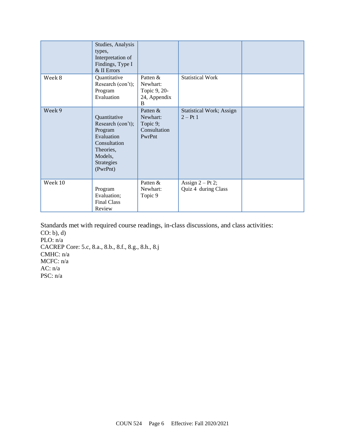|         | Studies, Analysis<br>types,<br>Interpretation of<br>Findings, Type I<br>& II Errors                                          |                                                            |                                               |  |
|---------|------------------------------------------------------------------------------------------------------------------------------|------------------------------------------------------------|-----------------------------------------------|--|
| Week 8  | Quantitative<br>Research (con't);<br>Program<br>Evaluation                                                                   | Patten &<br>Newhart:<br>Topic 9, 20-<br>24, Appendix<br>B  | <b>Statistical Work</b>                       |  |
| Week 9  | Quantitative<br>Research (con't);<br>Program<br>Evaluation<br>Consultation<br>Theories,<br>Models,<br>Strategies<br>(PwrPnt) | Patten &<br>Newhart:<br>Topic 9;<br>Consultation<br>PwrPnt | <b>Statistical Work; Assign</b><br>$2 - Pt$ 1 |  |
| Week 10 | Program<br>Evaluation;<br><b>Final Class</b><br>Review                                                                       | Patten &<br>Newhart:<br>Topic 9                            | Assign $2 - Pt$ 2;<br>Quiz 4 during Class     |  |

Standards met with required course readings, in-class discussions, and class activities: CO: b), d) PLO: n/a CACREP Core: 5.c, 8.a., 8.b., 8.f., 8.g., 8.h., 8.j CMHC: n/a MCFC: n/a AC: n/a PSC: n/a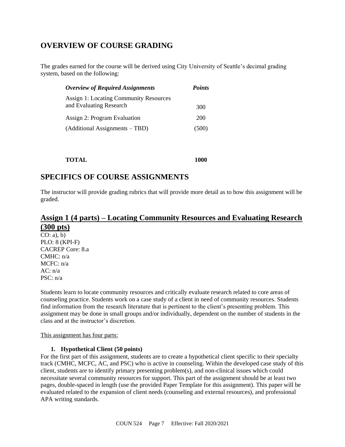## **OVERVIEW OF COURSE GRADING**

The grades earned for the course will be derived using City University of Seattle's decimal grading system, based on the following:

| <b>Overview of Required Assignments</b>       | <b>Points</b> |
|-----------------------------------------------|---------------|
| <b>Assign 1: Locating Community Resources</b> |               |
| and Evaluating Research                       | 300           |
| Assign 2: Program Evaluation                  | 200           |
| (Additional Assignments – TBD)                | (500)         |
|                                               |               |

### **SPECIFICS OF COURSE ASSIGNMENTS**

The instructor will provide grading rubrics that will provide more detail as to how this assignment will be graded.

### **Assign 1 (4 parts) – Locating Community Resources and Evaluating Research (300 pts)**

 $CO: a)$ , b) PLO: 8 (KPI-F) CACREP Core: 8.a CMHC: n/a MCFC: n/a AC: n/a PSC: n/a

Students learn to locate community resources and critically evaluate research related to core areas of counseling practice. Students work on a case study of a client in need of community resources. Students find information from the research literature that is pertinent to the client's presenting problem. This assignment may be done in small groups and/or individually, dependent on the number of students in the class and at the instructor's discretion.

#### This assignment has four parts:

#### **1. Hypothetical Client (50 points)**

For the first part of this assignment, students are to create a hypothetical client specific to their specialty track (CMHC, MCFC, AC, and PSC) who is active in counseling. Within the developed case study of this client, students are to identify primary presenting problem(s), and non-clinical issues which could necessitate several community resources for support. This part of the assignment should be at least two pages, double-spaced in length (use the provided Paper Template for this assignment). This paper will be evaluated related to the expansion of client needs (counseling and external resources), and professional APA writing standards.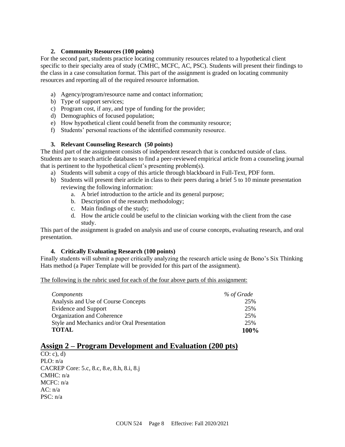### **2. Community Resources (100 points)**

For the second part, students practice locating community resources related to a hypothetical client specific to their specialty area of study (CMHC, MCFC, AC, PSC). Students will present their findings to the class in a case consultation format. This part of the assignment is graded on locating community resources and reporting all of the required resource information.

- a) Agency/program/resource name and contact information;
- b) Type of support services;
- c) Program cost, if any, and type of funding for the provider;
- d) Demographics of focused population;
- e) How hypothetical client could benefit from the community resource;
- f) Students' personal reactions of the identified community resource.

### **3. Relevant Counseling Research (50 points)**

The third part of the assignment consists of independent research that is conducted outside of class. Students are to search article databases to find a peer-reviewed empirical article from a counseling journal that is pertinent to the hypothetical client's presenting problem(s).

- a) Students will submit a copy of this article through blackboard in Full-Text, PDF form.
- b) Students will present their article in class to their peers during a brief 5 to 10 minute presentation reviewing the following information:
	- a. A brief introduction to the article and its general purpose;
	- b. Description of the research methodology;
	- c. Main findings of the study;
	- d. How the article could be useful to the clinician working with the client from the case study.

This part of the assignment is graded on analysis and use of course concepts, evaluating research, and oral presentation.

### **4. Critically Evaluating Research (100 points)**

Finally students will submit a paper critically analyzing the research article using de Bono's Six Thinking Hats method (a Paper Template will be provided for this part of the assignment).

The following is the rubric used for each of the four above parts of this assignment:

| <i>Components</i>                            | % of Grade |
|----------------------------------------------|------------|
| Analysis and Use of Course Concepts          | 25%        |
| Evidence and Support                         | 25%        |
| Organization and Coherence                   | 25%        |
| Style and Mechanics and/or Oral Presentation | 25%        |
| <b>TOTAL</b>                                 | 100%       |

### **Assign 2 – Program Development and Evaluation (200 pts)**

CO: c), d) PLO: n/a CACREP Core: 5.c, 8.c, 8.e, 8.h, 8.i, 8.j CMHC: n/a MCFC: n/a  $AC: n/a$ PSC: n/a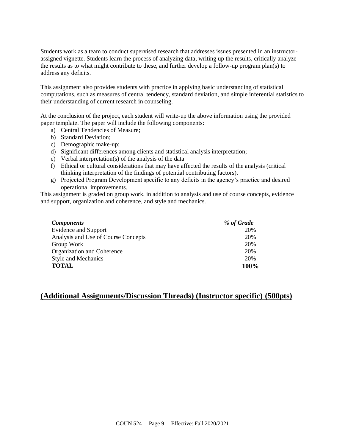Students work as a team to conduct supervised research that addresses issues presented in an instructorassigned vignette. Students learn the process of analyzing data, writing up the results, critically analyze the results as to what might contribute to these, and further develop a follow-up program plan(s) to address any deficits.

This assignment also provides students with practice in applying basic understanding of statistical computations, such as measures of central tendency, standard deviation, and simple inferential statistics to their understanding of current research in counseling.

At the conclusion of the project, each student will write-up the above information using the provided paper template. The paper will include the following components:

- a) Central Tendencies of Measure;
- b) Standard Deviation;
- c) Demographic make-up;
- d) Significant differences among clients and statistical analysis interpretation;
- e) Verbal interpretation(s) of the analysis of the data
- f) Ethical or cultural considerations that may have affected the results of the analysis (critical thinking interpretation of the findings of potential contributing factors).
- g) Projected Program Development specific to any deficits in the agency's practice and desired operational improvements.

This assignment is graded on group work, in addition to analysis and use of course concepts, evidence and support, organization and coherence, and style and mechanics.

| <b>Components</b>                   | % of Grade |
|-------------------------------------|------------|
| <b>Evidence and Support</b>         | 20%        |
| Analysis and Use of Course Concepts | 20%        |
| Group Work                          | 20%        |
| Organization and Coherence          | 20%        |
| <b>Style and Mechanics</b>          | 20%        |
| <b>TOTAL</b>                        | 100%       |

### **(Additional Assignments/Discussion Threads) (Instructor specific) (500pts)**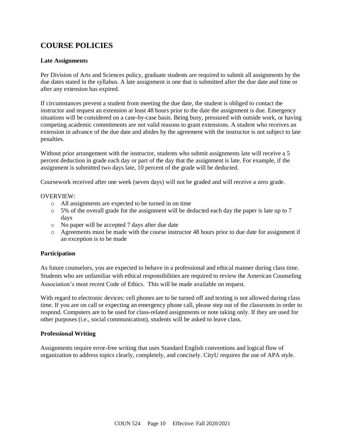# **COURSE POLICIES**

### **Late Assignments**

Per Division of Arts and Sciences policy, graduate students are required to submit all assignments by the due dates stated in the syllabus. A late assignment is one that is submitted after the due date and time or after any extension has expired.

If circumstances prevent a student from meeting the due date, the student is obliged to contact the instructor and request an extension at least 48 hours prior to the date the assignment is due. Emergency situations will be considered on a case-by-case basis. Being busy, pressured with outside work, or having competing academic commitments are not valid reasons to grant extensions. A student who receives an extension in advance of the due date and abides by the agreement with the instructor is not subject to late penalties.

Without prior arrangement with the instructor, students who submit assignments late will receive a 5 percent deduction in grade each day or part of the day that the assignment is late. For example, if the assignment is submitted two days late, 10 percent of the grade will be deducted.

Coursework received after one week (seven days) will not be graded and will receive a zero grade.

#### OVERVIEW:

- o All assignments are expected to be turned in on time
- $\circ$  5% of the overall grade for the assignment will be deducted each day the paper is late up to 7 days
- o No paper will be accepted 7 days after due date
- o Agreements must be made with the course instructor 48 hours prior to due date for assignment if an exception is to be made

### **Participation**

As future counselors, you are expected to behave in a professional and ethical manner during class time. Students who are unfamiliar with ethical responsibilities are required to review the American Counseling Association's most recent Code of Ethics. This will be made available on request.

With regard to electronic devices: cell phones are to be turned off and texting is not allowed during class time. If you are on call or expecting an emergency phone call, please step out of the classroom in order to respond. Computers are to be used for class-related assignments or note taking only. If they are used for other purposes (i.e., social communication), students will be asked to leave class.

#### **Professional Writing**

Assignments require error-free writing that uses Standard English conventions and logical flow of organization to address topics clearly, completely, and concisely. CityU requires the use of APA style.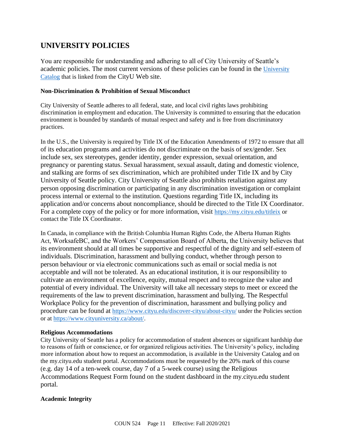### **UNIVERSITY POLICIES**

You are responsible for understanding and adhering to all of City University of Seattle's academic policies. The most current versions of these policies can be found in the [University](https://www.cityu.edu/catalog/)  [Catalog](https://www.cityu.edu/catalog/) that is linked from the CityU Web site.

#### **Non-Discrimination & Prohibition of Sexual Misconduct**

City University of Seattle adheres to all federal, state, and local civil rights laws prohibiting discrimination in employment and education. The University is committed to ensuring that the education environment is bounded by standards of mutual respect and safety and is free from discriminatory practices.

In the U.S., the University is required by Title IX of the Education Amendments of 1972 to ensure that all of its education programs and activities do not discriminate on the basis of sex/gender. Sex include sex, sex stereotypes, gender identity, gender expression, sexual orientation, and pregnancy or parenting status. Sexual harassment, sexual assault, dating and domestic violence, and stalking are forms of sex discrimination, which are prohibited under Title IX and by City University of Seattle policy. City University of Seattle also prohibits retaliation against any person opposing discrimination or participating in any discrimination investigation or complaint process internal or external to the institution. Questions regarding Title IX, including its application and/or concerns about noncompliance, should be directed to the Title IX Coordinator. For a complete copy of the policy or for more information, visit <https://my.cityu.edu/titleix> or contact the Title IX Coordinator.

In Canada, in compliance with the British Columbia Human Rights Code, the Alberta Human Rights Act, WorksafeBC, and the Workers' Compensation Board of Alberta, the University believes that its environment should at all times be supportive and respectful of the dignity and self-esteem of individuals. Discrimination, harassment and bullying conduct, whether through person to person behaviour or via electronic communications such as email or social media is not acceptable and will not be tolerated. As an educational institution, it is our responsibility to cultivate an environment of excellence, equity, mutual respect and to recognize the value and potential of every individual. The University will take all necessary steps to meet or exceed the requirements of the law to prevent discrimination, harassment and bullying. The Respectful Workplace Policy for the prevention of discrimination, harassment and bullying policy and procedure can be found at <https://www.cityu.edu/discover-cityu/about-cityu/> under the Policies section or at <https://www.cityuniversity.ca/about/>.

#### **Religious Accommodations**

City University of Seattle has a policy for accommodation of student absences or significant hardship due to reasons of faith or conscience, or for organized religious activities. The University's policy, including more information about how to request an accommodation, is available in the University Catalog and on the my.cityu.edu student portal. Accommodations must be requested by the 20% mark of this course (e.g. day 14 of a ten-week course, day 7 of a 5-week course) using the Religious Accommodations Request Form found on the student dashboard in the my.cityu.edu student portal.

### **Academic Integrity**